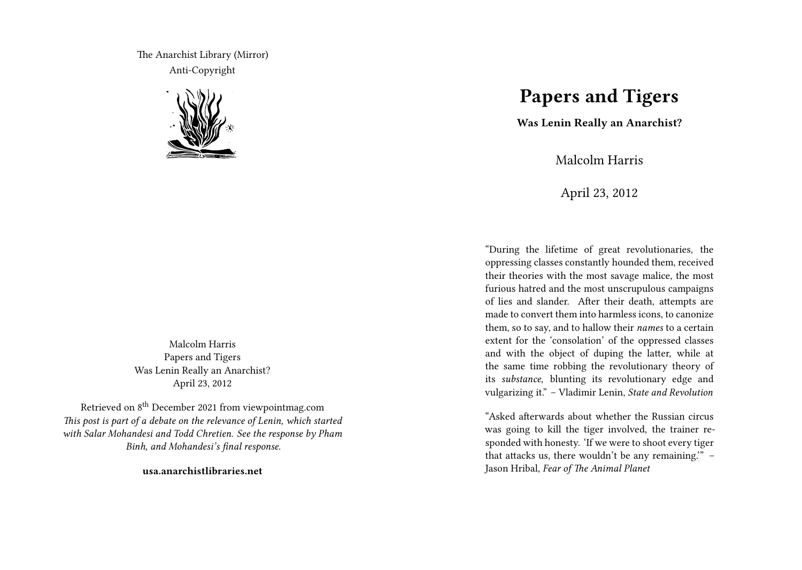The Anarchist Library (Mirror) Anti-Copyright



Malcolm Harris Papers and Tigers Was Lenin Really an Anarchist? April 23, 2012

Retrieved on 8th December 2021 from viewpointmag.com *This post is part of a debate on the relevance of Lenin, which started with Salar Mohandesi and Todd Chretien. See the response by Pham Binh, and Mohandesi's final response.*

**usa.anarchistlibraries.net**

## **Papers and Tigers**

**Was Lenin Really an Anarchist?**

Malcolm Harris

April 23, 2012

"During the lifetime of great revolutionaries, the oppressing classes constantly hounded them, received their theories with the most savage malice, the most furious hatred and the most unscrupulous campaigns of lies and slander. After their death, attempts are made to convert them into harmless icons, to canonize them, so to say, and to hallow their *names* to a certain extent for the 'consolation' of the oppressed classes and with the object of duping the latter, while at the same time robbing the revolutionary theory of its *substance*, blunting its revolutionary edge and vulgarizing it." – Vladimir Lenin, *State and Revolution*

"Asked afterwards about whether the Russian circus was going to kill the tiger involved, the trainer responded with honesty. 'If we were to shoot every tiger that attacks us, there wouldn't be any remaining.'" – Jason Hribal, *Fear of The Animal Planet*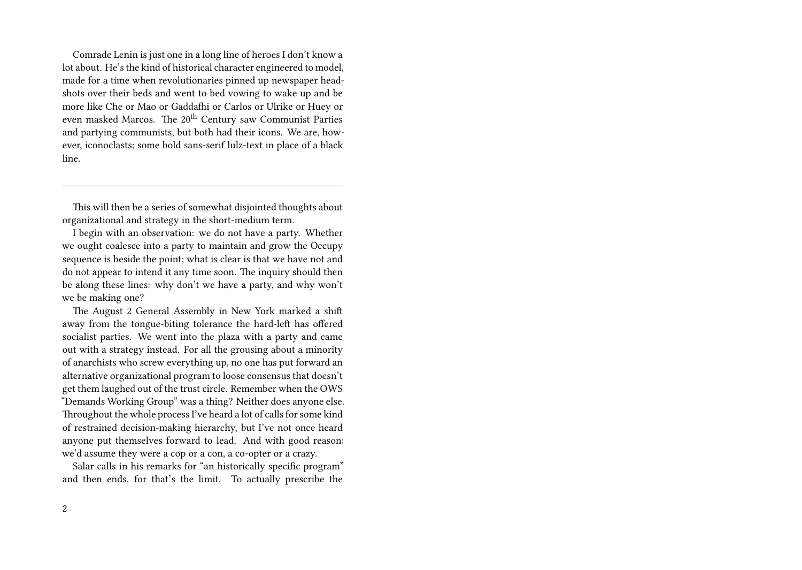Comrade Lenin is just one in a long line of heroes I don't know a lot about. He's the kind of historical character engineered to model, made for a time when revolutionaries pinned up newspaper headshots over their beds and went to bed vowing to wake up and be more like Che or Mao or Gaddafhi or Carlos or Ulrike or Huey or even masked Marcos. The 20<sup>th</sup> Century saw Communist Parties and partying communists, but both had their icons. We are, however, iconoclasts; some bold sans-serif lulz-text in place of a black line.

This will then be a series of somewhat disjointed thoughts about organizational and strategy in the short-medium term.

I begin with an observation: we do not have a party. Whether we ought coalesce into a party to maintain and grow the Occupy sequence is beside the point; what is clear is that we have not and do not appear to intend it any time soon. The inquiry should then be along these lines: why don't we have a party, and why won't we be making one?

The August 2 General Assembly in New York marked a shift away from the tongue-biting tolerance the hard-left has offered socialist parties. We went into the plaza with a party and came out with a strategy instead. For all the grousing about a minority of anarchists who screw everything up, no one has put forward an alternative organizational program to loose consensus that doesn't get them laughed out of the trust circle. Remember when the OWS "Demands Working Group" was a thing? Neither does anyone else. Throughout the whole process I've heard a lot of calls for some kind of restrained decision-making hierarchy, but I've not once heard anyone put themselves forward to lead. And with good reason: we'd assume they were a cop or a con, a co-opter or a crazy.

Salar calls in his remarks for "an historically specific program" and then ends, for that's the limit. To actually prescribe the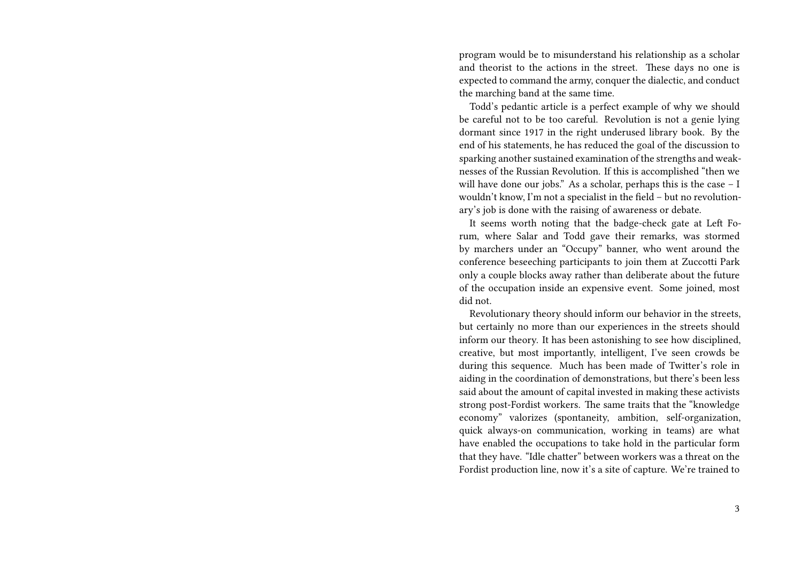program would be to misunderstand his relationship as a scholar and theorist to the actions in the street. These days no one is expected to command the army, conquer the dialectic, and conduct the marching band at the same time.

Todd's pedantic article is a perfect example of why we should be careful not to be too careful. Revolution is not a genie lying dormant since 1917 in the right underused library book. By the end of his statements, he has reduced the goal of the discussion to sparking another sustained examination of the strengths and weaknesses of the Russian Revolution. If this is accomplished "then we will have done our jobs." As a scholar, perhaps this is the case - I wouldn't know, I'm not a specialist in the field – but no revolutionary's job is done with the raising of awareness or debate.

It seems worth noting that the badge-check gate at Left Forum, where Salar and Todd gave their remarks, was stormed by marchers under an "Occupy" banner, who went around the conference beseeching participants to join them at Zuccotti Park only a couple blocks away rather than deliberate about the future of the occupation inside an expensive event. Some joined, most did not.

Revolutionary theory should inform our behavior in the streets, but certainly no more than our experiences in the streets should inform our theory. It has been astonishing to see how disciplined, creative, but most importantly, intelligent, I've seen crowds be during this sequence. Much has been made of Twitter's role in aiding in the coordination of demonstrations, but there's been less said about the amount of capital invested in making these activists strong post-Fordist workers. The same traits that the "knowledge economy" valorizes (spontaneity, ambition, self-organization, quick always-on communication, working in teams) are what have enabled the occupations to take hold in the particular form that they have. "Idle chatter" between workers was a threat on the Fordist production line, now it's a site of capture. We're trained to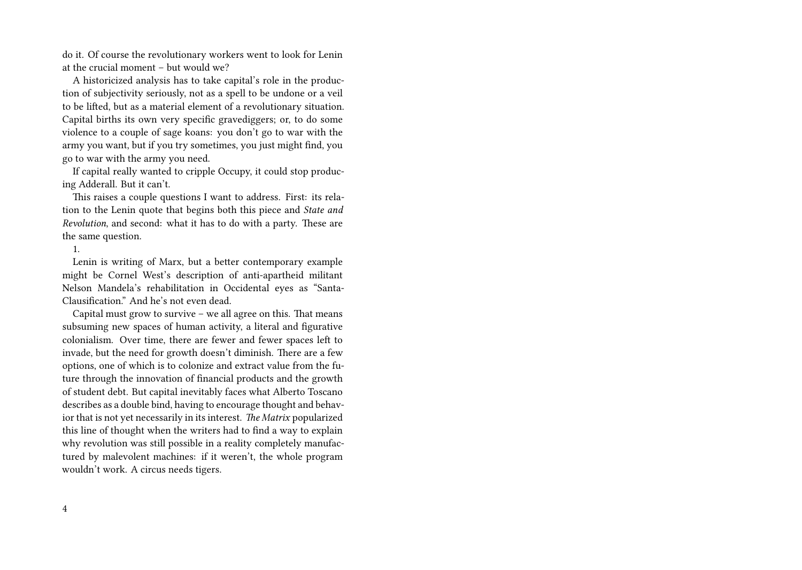do it. Of course the revolutionary workers went to look for Lenin at the crucial moment – but would we?

A historicized analysis has to take capital's role in the production of subjectivity seriously, not as a spell to be undone or a veil to be lifted, but as a material element of a revolutionary situation. Capital births its own very specific gravediggers; or, to do some violence to a couple of sage koans: you don't go to war with the army you want, but if you try sometimes, you just might find, you go to war with the army you need.

If capital really wanted to cripple Occupy, it could stop producing Adderall. But it can't.

This raises a couple questions I want to address. First: its relation to the Lenin quote that begins both this piece and *State and Revolution*, and second: what it has to do with a party. These are the same question.

1.

Lenin is writing of Marx, but a better contemporary example might be Cornel West's description of anti-apartheid militant Nelson Mandela's rehabilitation in Occidental eyes as "Santa-Clausification." And he's not even dead.

Capital must grow to survive – we all agree on this. That means subsuming new spaces of human activity, a literal and figurative colonialism. Over time, there are fewer and fewer spaces left to invade, but the need for growth doesn't diminish. There are a few options, one of which is to colonize and extract value from the future through the innovation of financial products and the growth of student debt. But capital inevitably faces what Alberto Toscano describes as a double bind, having to encourage thought and behavior that is not yet necessarily in its interest. *The Matrix* popularized this line of thought when the writers had to find a way to explain why revolution was still possible in a reality completely manufactured by malevolent machines: if it weren't, the whole program wouldn't work. A circus needs tigers.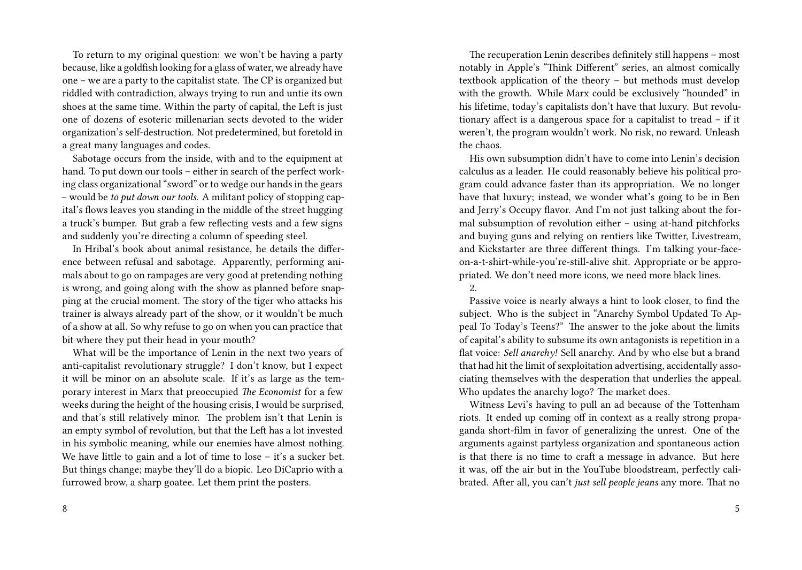To return to my original question: we won't be having a party because, like a goldfish looking for a glass of water, we already have one – we are a party to the capitalist state. The CP is organized but riddled with contradiction, always trying to run and untie its own shoes at the same time. Within the party of capital, the Left is just one of dozens of esoteric millenarian sects devoted to the wider organization's self-destruction. Not predetermined, but foretold in a great many languages and codes.

Sabotage occurs from the inside, with and to the equipment at hand. To put down our tools – either in search of the perfect working class organizational "sword" or to wedge our hands in the gears – would be *to put down our tools*. A militant policy of stopping capital's flows leaves you standing in the middle of the street hugging a truck's bumper. But grab a few reflecting vests and a few signs and suddenly you're directing a column of speeding steel.

In Hribal's book about animal resistance, he details the difference between refusal and sabotage. Apparently, performing animals about to go on rampages are very good at pretending nothing is wrong, and going along with the show as planned before snapping at the crucial moment. The story of the tiger who attacks his trainer is always already part of the show, or it wouldn't be much of a show at all. So why refuse to go on when you can practice that bit where they put their head in your mouth?

What will be the importance of Lenin in the next two years of anti-capitalist revolutionary struggle? I don't know, but I expect it will be minor on an absolute scale. If it's as large as the temporary interest in Marx that preoccupied *The Economist* for a few weeks during the height of the housing crisis, I would be surprised, and that's still relatively minor. The problem isn't that Lenin is an empty symbol of revolution, but that the Left has a lot invested in his symbolic meaning, while our enemies have almost nothing. We have little to gain and a lot of time to lose – it's a sucker bet. But things change; maybe they'll do a biopic. Leo DiCaprio with a furrowed brow, a sharp goatee. Let them print the posters.

The recuperation Lenin describes definitely still happens – most notably in Apple's "Think Different" series, an almost comically textbook application of the theory – but methods must develop with the growth. While Marx could be exclusively "hounded" in his lifetime, today's capitalists don't have that luxury. But revolutionary affect is a dangerous space for a capitalist to tread – if it weren't, the program wouldn't work. No risk, no reward. Unleash the chaos.

His own subsumption didn't have to come into Lenin's decision calculus as a leader. He could reasonably believe his political program could advance faster than its appropriation. We no longer have that luxury; instead, we wonder what's going to be in Ben and Jerry's Occupy flavor. And I'm not just talking about the formal subsumption of revolution either – using at-hand pitchforks and buying guns and relying on rentiers like Twitter, Livestream, and Kickstarter are three different things. I'm talking your-faceon-a-t-shirt-while-you're-still-alive shit. Appropriate or be appropriated. We don't need more icons, we need more black lines.

2.

Passive voice is nearly always a hint to look closer, to find the subject. Who is the subject in "Anarchy Symbol Updated To Appeal To Today's Teens?" The answer to the joke about the limits of capital's ability to subsume its own antagonists is repetition in a flat voice: *Sell anarchy!* Sell anarchy. And by who else but a brand that had hit the limit of sexploitation advertising, accidentally associating themselves with the desperation that underlies the appeal. Who updates the anarchy logo? The market does.

Witness Levi's having to pull an ad because of the Tottenham riots. It ended up coming off in context as a really strong propaganda short-film in favor of generalizing the unrest. One of the arguments against partyless organization and spontaneous action is that there is no time to craft a message in advance. But here it was, off the air but in the YouTube bloodstream, perfectly calibrated. After all, you can't *just sell people jeans* any more. That no